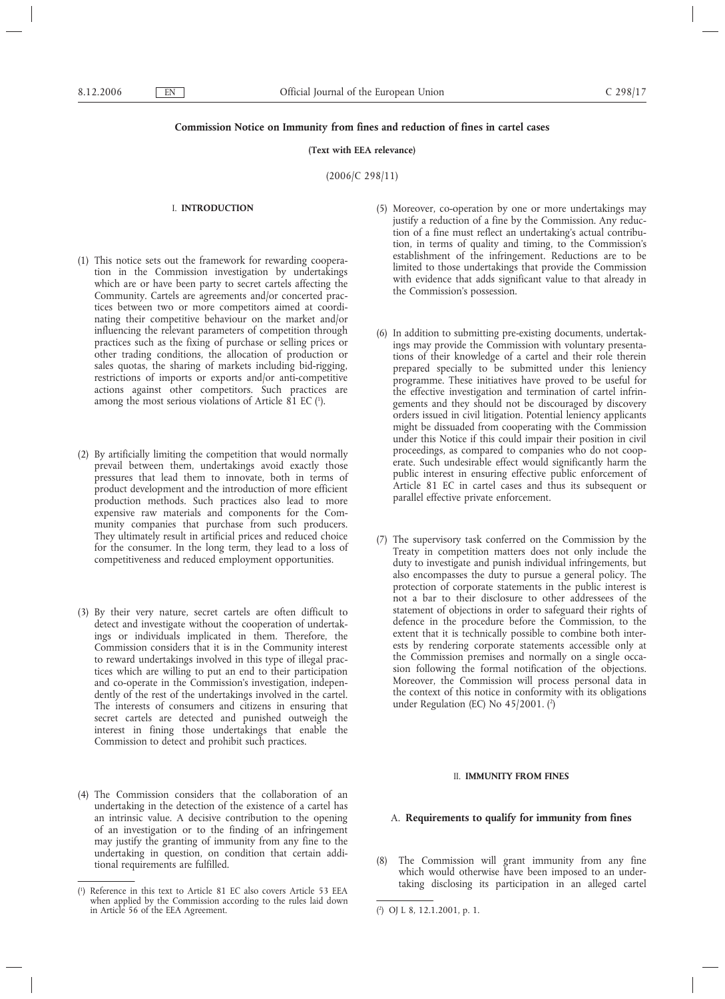# **Commission Notice on Immunity from fines and reduction of fines in cartel cases**

## **(Text with EEA relevance)**

(2006/C 298/11)

## I. **INTRODUCTION**

- (1) This notice sets out the framework for rewarding cooperation in the Commission investigation by undertakings which are or have been party to secret cartels affecting the Community. Cartels are agreements and/or concerted practices between two or more competitors aimed at coordinating their competitive behaviour on the market and/or influencing the relevant parameters of competition through practices such as the fixing of purchase or selling prices or other trading conditions, the allocation of production or sales quotas, the sharing of markets including bid-rigging, restrictions of imports or exports and/or anti-competitive actions against other competitors. Such practices are among the most serious violations of Article 81 EC (1).
- (2) By artificially limiting the competition that would normally prevail between them, undertakings avoid exactly those pressures that lead them to innovate, both in terms of product development and the introduction of more efficient production methods. Such practices also lead to more expensive raw materials and components for the Community companies that purchase from such producers. They ultimately result in artificial prices and reduced choice for the consumer. In the long term, they lead to a loss of competitiveness and reduced employment opportunities.
- (3) By their very nature, secret cartels are often difficult to detect and investigate without the cooperation of undertakings or individuals implicated in them. Therefore, the Commission considers that it is in the Community interest to reward undertakings involved in this type of illegal practices which are willing to put an end to their participation and co-operate in the Commission's investigation, independently of the rest of the undertakings involved in the cartel. The interests of consumers and citizens in ensuring that secret cartels are detected and punished outweigh the interest in fining those undertakings that enable the Commission to detect and prohibit such practices.
- (4) The Commission considers that the collaboration of an undertaking in the detection of the existence of a cartel has an intrinsic value. A decisive contribution to the opening of an investigation or to the finding of an infringement may justify the granting of immunity from any fine to the undertaking in question, on condition that certain additional requirements are fulfilled.
- (5) Moreover, co-operation by one or more undertakings may justify a reduction of a fine by the Commission. Any reduction of a fine must reflect an undertaking's actual contribution, in terms of quality and timing, to the Commission's establishment of the infringement. Reductions are to be limited to those undertakings that provide the Commission with evidence that adds significant value to that already in the Commission's possession.
- (6) In addition to submitting pre-existing documents, undertakings may provide the Commission with voluntary presentations of their knowledge of a cartel and their role therein prepared specially to be submitted under this leniency programme. These initiatives have proved to be useful for the effective investigation and termination of cartel infringements and they should not be discouraged by discovery orders issued in civil litigation. Potential leniency applicants might be dissuaded from cooperating with the Commission under this Notice if this could impair their position in civil proceedings, as compared to companies who do not cooperate. Such undesirable effect would significantly harm the public interest in ensuring effective public enforcement of Article 81 EC in cartel cases and thus its subsequent or parallel effective private enforcement.
- (7) The supervisory task conferred on the Commission by the Treaty in competition matters does not only include the duty to investigate and punish individual infringements, but also encompasses the duty to pursue a general policy. The protection of corporate statements in the public interest is not a bar to their disclosure to other addressees of the statement of objections in order to safeguard their rights of defence in the procedure before the Commission, to the extent that it is technically possible to combine both interests by rendering corporate statements accessible only at the Commission premises and normally on a single occasion following the formal notification of the objections. Moreover, the Commission will process personal data in the context of this notice in conformity with its obligations under Regulation (EC) No 45/2001. (2)

#### II. **IMMUNITY FROM FINES**

#### A. **Requirements to qualify for immunity from fines**

(8) The Commission will grant immunity from any fine which would otherwise have been imposed to an undertaking disclosing its participation in an alleged cartel

<sup>(</sup> 1 ) Reference in this text to Article 81 EC also covers Article 53 EEA when applied by the Commission according to the rules laid down in Article 56 of the EEA Agreement.

<sup>2</sup> ) OJ L 8, 12.1.2001, p. 1.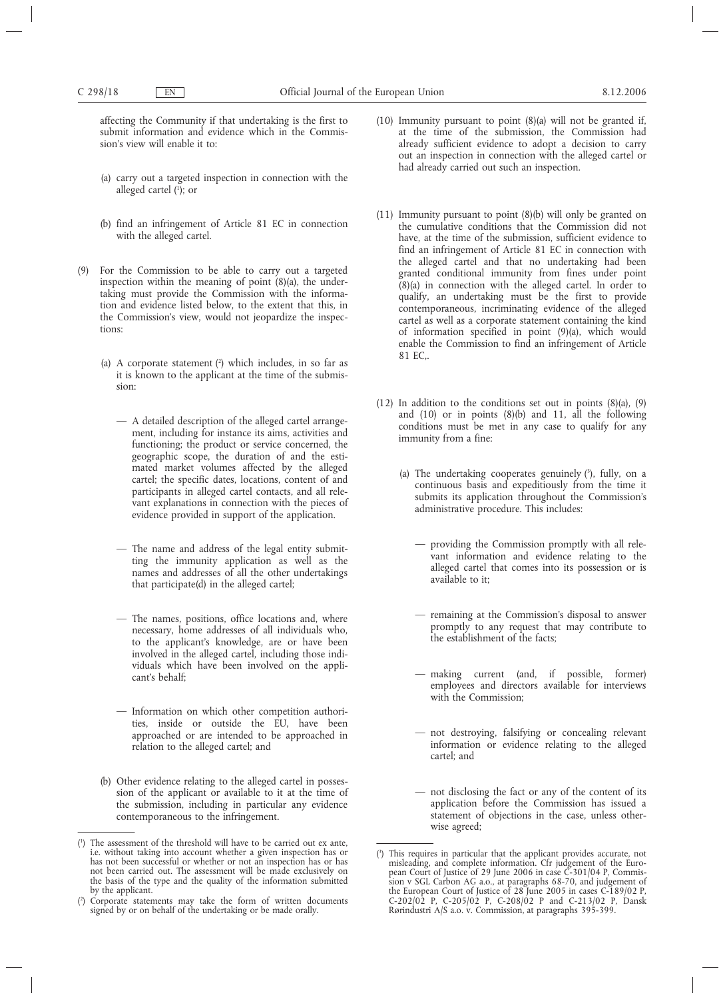affecting the Community if that undertaking is the first to submit information and evidence which in the Commission's view will enable it to:

- (a) carry out a targeted inspection in connection with the alleged cartel (1 ); or
- (b) find an infringement of Article 81 EC in connection with the alleged cartel.
- (9) For the Commission to be able to carry out a targeted inspection within the meaning of point  $(8)(a)$ , the undertaking must provide the Commission with the information and evidence listed below, to the extent that this, in the Commission's view, would not jeopardize the inspections:
	- (a) A corporate statement  $(2)$  which includes, in so far as it is known to the applicant at the time of the submission:
		- A detailed description of the alleged cartel arrangement, including for instance its aims, activities and functioning; the product or service concerned, the geographic scope, the duration of and the estimated market volumes affected by the alleged cartel; the specific dates, locations, content of and participants in alleged cartel contacts, and all relevant explanations in connection with the pieces of evidence provided in support of the application.
		- The name and address of the legal entity submitting the immunity application as well as the names and addresses of all the other undertakings that participate(d) in the alleged cartel;
		- The names, positions, office locations and, where necessary, home addresses of all individuals who, to the applicant's knowledge, are or have been involved in the alleged cartel, including those individuals which have been involved on the applicant's behalf;
		- Information on which other competition authorities, inside or outside the EU, have been approached or are intended to be approached in relation to the alleged cartel; and
	- (b) Other evidence relating to the alleged cartel in possession of the applicant or available to it at the time of the submission, including in particular any evidence contemporaneous to the infringement.
- (10) Immunity pursuant to point (8)(a) will not be granted if, at the time of the submission, the Commission had already sufficient evidence to adopt a decision to carry out an inspection in connection with the alleged cartel or had already carried out such an inspection.
- (11) Immunity pursuant to point (8)(b) will only be granted on the cumulative conditions that the Commission did not have, at the time of the submission, sufficient evidence to find an infringement of Article 81 EC in connection with the alleged cartel and that no undertaking had been granted conditional immunity from fines under point (8)(a) in connection with the alleged cartel. In order to qualify, an undertaking must be the first to provide contemporaneous, incriminating evidence of the alleged cartel as well as a corporate statement containing the kind of information specified in point (9)(a), which would enable the Commission to find an infringement of Article 81 EC,.
- (12) In addition to the conditions set out in points (8)(a), (9) and  $(10)$  or in points  $(8)(b)$  and 11, all the following conditions must be met in any case to qualify for any immunity from a fine:
	- (a) The undertaking cooperates genuinely (3), fully, on a continuous basis and expeditiously from the time it submits its application throughout the Commission's administrative procedure. This includes:
		- providing the Commission promptly with all relevant information and evidence relating to the alleged cartel that comes into its possession or is available to it;
		- remaining at the Commission's disposal to answer promptly to any request that may contribute to the establishment of the facts;
		- making current (and, if possible, former) employees and directors available for interviews with the Commission;
		- not destroying, falsifying or concealing relevant information or evidence relating to the alleged cartel; and
		- not disclosing the fact or any of the content of its application before the Commission has issued a statement of objections in the case, unless otherwise agreed;

<sup>(</sup> 1 ) The assessment of the threshold will have to be carried out ex ante, i.e. without taking into account whether a given inspection has or has not been successful or whether or not an inspection has or has not been carried out. The assessment will be made exclusively on the basis of the type and the quality of the information submitted by the applicant.

<sup>(</sup> 2 ) Corporate statements may take the form of written documents signed by or on behalf of the undertaking or be made orally.

<sup>(</sup> 3 ) This requires in particular that the applicant provides accurate, not misleading, and complete information. Cfr judgement of the European Court of Justice of 29 June 2006 in case C-301/04 P, Commission v SGL Carbon AG a.o., at paragraphs 68-70, and judgement of the European Court of Justice of 28 June 2005 in cases C-189/02 P, C-202/02 P, C-205/02 P, C-208/02 P and C-213/02 P, Dansk Rørindustri A/S a.o. v. Commission, at paragraphs 395-399.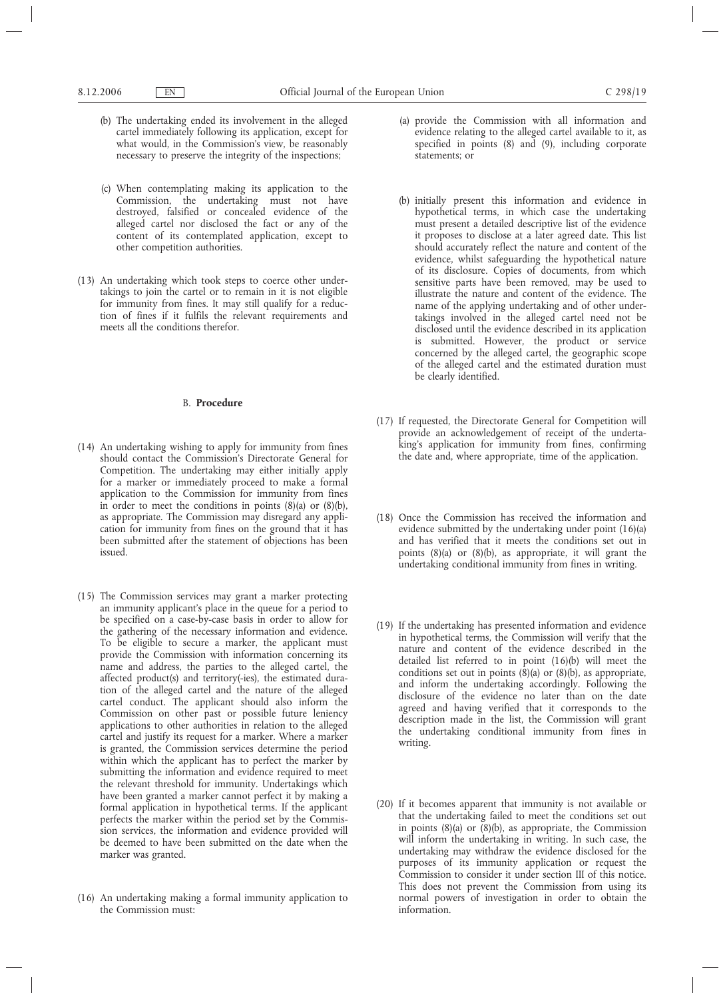- (b) The undertaking ended its involvement in the alleged cartel immediately following its application, except for what would, in the Commission's view, be reasonably necessary to preserve the integrity of the inspections;
- (c) When contemplating making its application to the Commission, the undertaking must not have destroyed, falsified or concealed evidence of the alleged cartel nor disclosed the fact or any of the content of its contemplated application, except to other competition authorities.
- (13) An undertaking which took steps to coerce other undertakings to join the cartel or to remain in it is not eligible for immunity from fines. It may still qualify for a reduction of fines if it fulfils the relevant requirements and meets all the conditions therefor.

# B. **Procedure**

- (14) An undertaking wishing to apply for immunity from fines should contact the Commission's Directorate General for Competition. The undertaking may either initially apply for a marker or immediately proceed to make a formal application to the Commission for immunity from fines in order to meet the conditions in points  $(8)(a)$  or  $(8)(b)$ , as appropriate. The Commission may disregard any application for immunity from fines on the ground that it has been submitted after the statement of objections has been issued.
- (15) The Commission services may grant a marker protecting an immunity applicant's place in the queue for a period to be specified on a case-by-case basis in order to allow for the gathering of the necessary information and evidence. To be eligible to secure a marker, the applicant must provide the Commission with information concerning its name and address, the parties to the alleged cartel, the affected product(s) and territory(-ies), the estimated duration of the alleged cartel and the nature of the alleged cartel conduct. The applicant should also inform the Commission on other past or possible future leniency applications to other authorities in relation to the alleged cartel and justify its request for a marker. Where a marker is granted, the Commission services determine the period within which the applicant has to perfect the marker by submitting the information and evidence required to meet the relevant threshold for immunity. Undertakings which have been granted a marker cannot perfect it by making a formal application in hypothetical terms. If the applicant perfects the marker within the period set by the Commission services, the information and evidence provided will be deemed to have been submitted on the date when the marker was granted.
- (16) An undertaking making a formal immunity application to the Commission must:
- (a) provide the Commission with all information and evidence relating to the alleged cartel available to it, as specified in points (8) and (9), including corporate statements; or
- (b) initially present this information and evidence in hypothetical terms, in which case the undertaking must present a detailed descriptive list of the evidence it proposes to disclose at a later agreed date. This list should accurately reflect the nature and content of the evidence, whilst safeguarding the hypothetical nature of its disclosure. Copies of documents, from which sensitive parts have been removed, may be used to illustrate the nature and content of the evidence. The name of the applying undertaking and of other undertakings involved in the alleged cartel need not be disclosed until the evidence described in its application is submitted. However, the product or service concerned by the alleged cartel, the geographic scope of the alleged cartel and the estimated duration must be clearly identified.
- (17) If requested, the Directorate General for Competition will provide an acknowledgement of receipt of the undertaking's application for immunity from fines, confirming the date and, where appropriate, time of the application.
- (18) Once the Commission has received the information and evidence submitted by the undertaking under point (16)(a) and has verified that it meets the conditions set out in points (8)(a) or (8)(b), as appropriate, it will grant the undertaking conditional immunity from fines in writing.
- (19) If the undertaking has presented information and evidence in hypothetical terms, the Commission will verify that the nature and content of the evidence described in the detailed list referred to in point (16)(b) will meet the conditions set out in points  $(8)(a)$  or  $(8)(b)$ , as appropriate, and inform the undertaking accordingly. Following the disclosure of the evidence no later than on the date agreed and having verified that it corresponds to the description made in the list, the Commission will grant the undertaking conditional immunity from fines in writing.
- (20) If it becomes apparent that immunity is not available or that the undertaking failed to meet the conditions set out in points  $(8)(a)$  or  $(8)(b)$ , as appropriate, the Commission will inform the undertaking in writing. In such case, the undertaking may withdraw the evidence disclosed for the purposes of its immunity application or request the Commission to consider it under section III of this notice. This does not prevent the Commission from using its normal powers of investigation in order to obtain the information.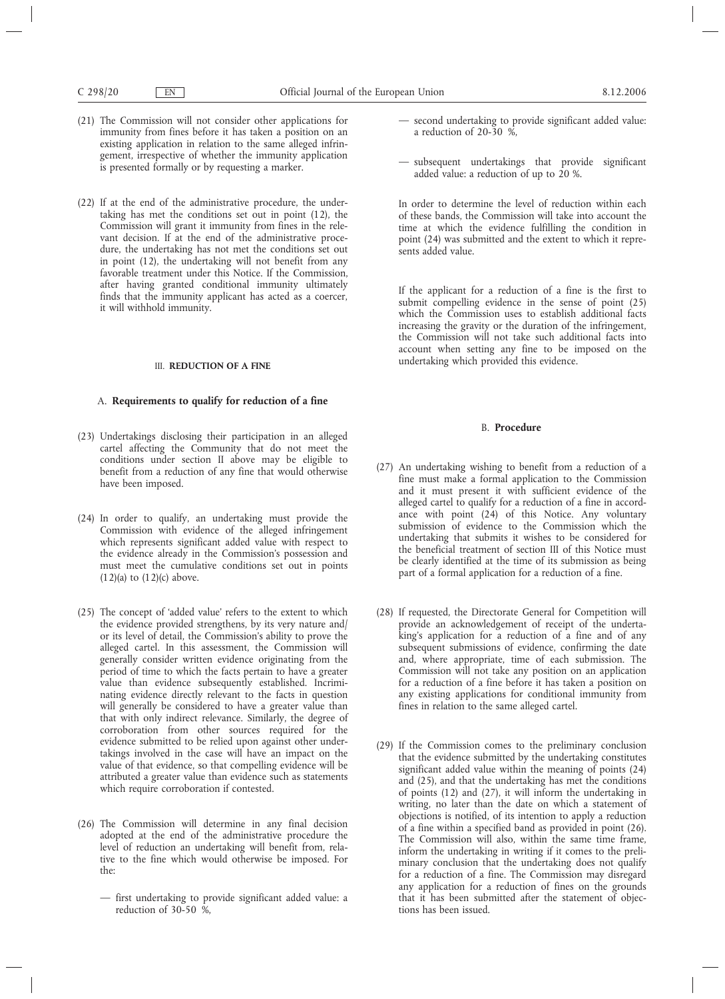- (21) The Commission will not consider other applications for immunity from fines before it has taken a position on an existing application in relation to the same alleged infringement, irrespective of whether the immunity application is presented formally or by requesting a marker.
- (22) If at the end of the administrative procedure, the undertaking has met the conditions set out in point (12), the Commission will grant it immunity from fines in the relevant decision. If at the end of the administrative procedure, the undertaking has not met the conditions set out in point (12), the undertaking will not benefit from any favorable treatment under this Notice. If the Commission, after having granted conditional immunity ultimately finds that the immunity applicant has acted as a coercer, it will withhold immunity.

# III. **REDUCTION OF A FINE**

### A. **Requirements to qualify for reduction of a fine**

- (23) Undertakings disclosing their participation in an alleged cartel affecting the Community that do not meet the conditions under section II above may be eligible to benefit from a reduction of any fine that would otherwise have been imposed.
- (24) In order to qualify, an undertaking must provide the Commission with evidence of the alleged infringement which represents significant added value with respect to the evidence already in the Commission's possession and must meet the cumulative conditions set out in points  $(12)(a)$  to  $(12)(c)$  above.
- (25) The concept of 'added value' refers to the extent to which the evidence provided strengthens, by its very nature and/ or its level of detail, the Commission's ability to prove the alleged cartel. In this assessment, the Commission will generally consider written evidence originating from the period of time to which the facts pertain to have a greater value than evidence subsequently established. Incriminating evidence directly relevant to the facts in question will generally be considered to have a greater value than that with only indirect relevance. Similarly, the degree of corroboration from other sources required for the evidence submitted to be relied upon against other undertakings involved in the case will have an impact on the value of that evidence, so that compelling evidence will be attributed a greater value than evidence such as statements which require corroboration if contested.
- (26) The Commission will determine in any final decision adopted at the end of the administrative procedure the level of reduction an undertaking will benefit from, relative to the fine which would otherwise be imposed. For the:
	- first undertaking to provide significant added value: a reduction of 30-50 %,
- second undertaking to provide significant added value: a reduction of 20-30 %,
- subsequent undertakings that provide significant added value: a reduction of up to 20 %.

In order to determine the level of reduction within each of these bands, the Commission will take into account the time at which the evidence fulfilling the condition in point (24) was submitted and the extent to which it represents added value.

If the applicant for a reduction of a fine is the first to submit compelling evidence in the sense of point (25) which the Commission uses to establish additional facts increasing the gravity or the duration of the infringement, the Commission will not take such additional facts into account when setting any fine to be imposed on the undertaking which provided this evidence.

# B. **Procedure**

- (27) An undertaking wishing to benefit from a reduction of a fine must make a formal application to the Commission and it must present it with sufficient evidence of the alleged cartel to qualify for a reduction of a fine in accordance with point (24) of this Notice. Any voluntary submission of evidence to the Commission which the undertaking that submits it wishes to be considered for the beneficial treatment of section III of this Notice must be clearly identified at the time of its submission as being part of a formal application for a reduction of a fine.
- (28) If requested, the Directorate General for Competition will provide an acknowledgement of receipt of the undertaking's application for a reduction of a fine and of any subsequent submissions of evidence, confirming the date and, where appropriate, time of each submission. The Commission will not take any position on an application for a reduction of a fine before it has taken a position on any existing applications for conditional immunity from fines in relation to the same alleged cartel.
- (29) If the Commission comes to the preliminary conclusion that the evidence submitted by the undertaking constitutes significant added value within the meaning of points (24) and (25), and that the undertaking has met the conditions of points (12) and (27), it will inform the undertaking in writing, no later than the date on which a statement of objections is notified, of its intention to apply a reduction of a fine within a specified band as provided in point (26). The Commission will also, within the same time frame, inform the undertaking in writing if it comes to the preliminary conclusion that the undertaking does not qualify for a reduction of a fine. The Commission may disregard any application for a reduction of fines on the grounds that it has been submitted after the statement of objections has been issued.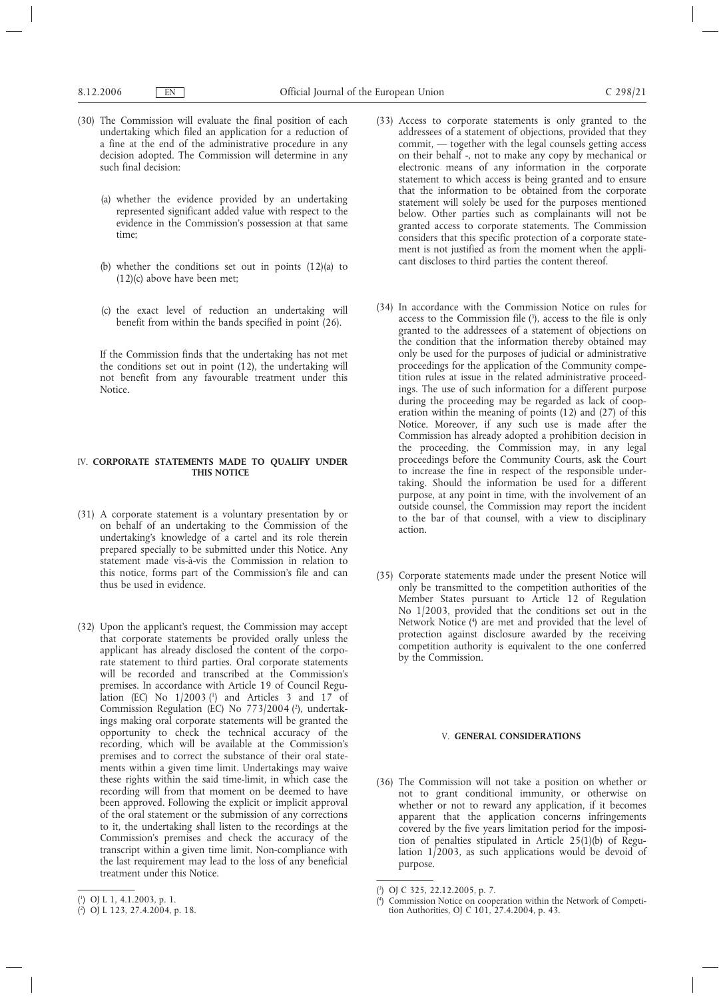- (30) The Commission will evaluate the final position of each undertaking which filed an application for a reduction of a fine at the end of the administrative procedure in any decision adopted. The Commission will determine in any such final decision:
	- (a) whether the evidence provided by an undertaking represented significant added value with respect to the evidence in the Commission's possession at that same time;
	- (b) whether the conditions set out in points (12)(a) to (12)(c) above have been met;
	- (c) the exact level of reduction an undertaking will benefit from within the bands specified in point (26).

If the Commission finds that the undertaking has not met the conditions set out in point (12), the undertaking will not benefit from any favourable treatment under this Notice.

#### IV. **CORPORATE STATEMENTS MADE TO QUALIFY UNDER THIS NOTICE**

- (31) A corporate statement is a voluntary presentation by or on behalf of an undertaking to the Commission of the undertaking's knowledge of a cartel and its role therein prepared specially to be submitted under this Notice. Any statement made vis-à-vis the Commission in relation to this notice, forms part of the Commission's file and can thus be used in evidence.
- (32) Upon the applicant's request, the Commission may accept that corporate statements be provided orally unless the applicant has already disclosed the content of the corporate statement to third parties. Oral corporate statements will be recorded and transcribed at the Commission's premises. In accordance with Article 19 of Council Regulation (EC) No 1/2003 (1 ) and Articles 3 and 17 of Commission Regulation (EC) No 773/2004 (2), undertakings making oral corporate statements will be granted the opportunity to check the technical accuracy of the recording, which will be available at the Commission's premises and to correct the substance of their oral statements within a given time limit. Undertakings may waive these rights within the said time-limit, in which case the recording will from that moment on be deemed to have been approved. Following the explicit or implicit approval of the oral statement or the submission of any corrections to it, the undertaking shall listen to the recordings at the Commission's premises and check the accuracy of the transcript within a given time limit. Non-compliance with the last requirement may lead to the loss of any beneficial treatment under this Notice.
- (33) Access to corporate statements is only granted to the addressees of a statement of objections, provided that they commit, — together with the legal counsels getting access on their behalf -, not to make any copy by mechanical or electronic means of any information in the corporate statement to which access is being granted and to ensure that the information to be obtained from the corporate statement will solely be used for the purposes mentioned below. Other parties such as complainants will not be granted access to corporate statements. The Commission considers that this specific protection of a corporate statement is not justified as from the moment when the applicant discloses to third parties the content thereof.
- (34) In accordance with the Commission Notice on rules for access to the Commission file  $(3)$ , access to the file is only granted to the addressees of a statement of objections on the condition that the information thereby obtained may only be used for the purposes of judicial or administrative proceedings for the application of the Community competition rules at issue in the related administrative proceedings. The use of such information for a different purpose during the proceeding may be regarded as lack of cooperation within the meaning of points (12) and (27) of this Notice. Moreover, if any such use is made after the Commission has already adopted a prohibition decision in the proceeding, the Commission may, in any legal proceedings before the Community Courts, ask the Court to increase the fine in respect of the responsible undertaking. Should the information be used for a different purpose, at any point in time, with the involvement of an outside counsel, the Commission may report the incident to the bar of that counsel, with a view to disciplinary action.
- (35) Corporate statements made under the present Notice will only be transmitted to the competition authorities of the Member States pursuant to Article 12 of Regulation No 1/2003, provided that the conditions set out in the Network Notice (4 ) are met and provided that the level of protection against disclosure awarded by the receiving competition authority is equivalent to the one conferred by the Commission.

## V. **GENERAL CONSIDERATIONS**

(36) The Commission will not take a position on whether or not to grant conditional immunity, or otherwise on whether or not to reward any application, if it becomes apparent that the application concerns infringements covered by the five years limitation period for the imposition of penalties stipulated in Article 25(1)(b) of Regulation  $1/2003$ , as such applications would be devoid of purpose.

<sup>(</sup> 1 ) OJ L 1, 4.1.2003, p. 1.

<sup>(</sup> 2 ) OJ L 123, 27.4.2004, p. 18.

<sup>(</sup> 3 ) OJ C 325, 22.12.2005, p. 7.

<sup>(</sup> 4 ) Commission Notice on cooperation within the Network of Competition Authorities, OJ C 101, 27.4.2004, p. 43.